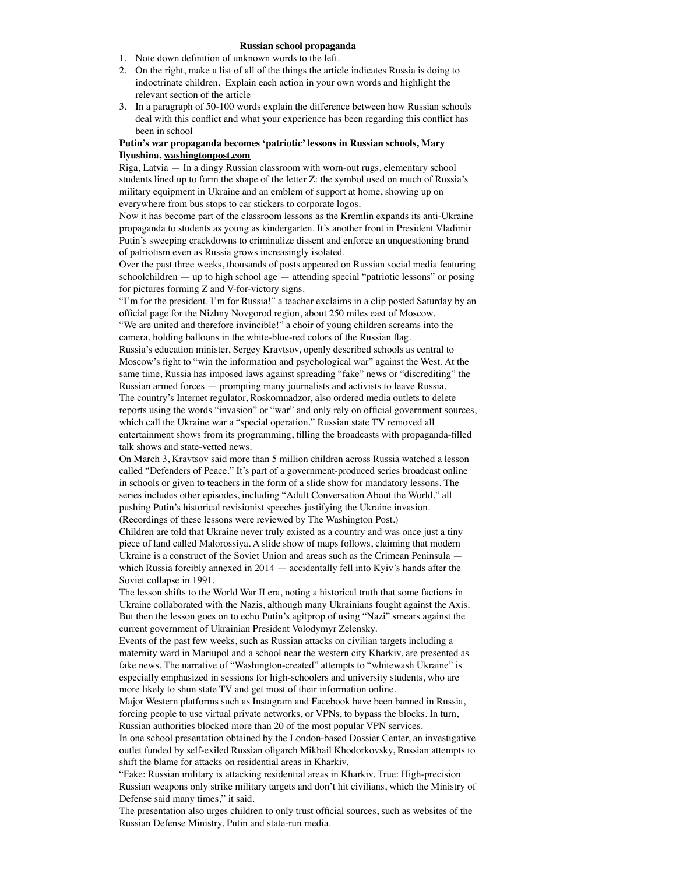## **Russian school propaganda**

- 1. Note down definition of unknown words to the left.
- 2. On the right, make a list of all of the things the article indicates Russia is doing to indoctrinate children. Explain each action in your own words and highlight the relevant section of the article
- 3. In a paragraph of 50-100 words explain the difference between how Russian schools deal with this conflict and what your experience has been regarding this conflict has been in school

## **Putin's war propaganda becomes 'patriotic' lessons in Russian schools, Mary Ilyushina, [washingtonpost.com](https://www.washingtonpost.com/world/2022/03/20/putin-russia-schools-ukraine/)**

Riga, Latvia — In a dingy Russian classroom with worn-out rugs, elementary school students lined up to form the shape of the letter Z: the symbol used on much of Russia's military equipment in Ukraine and an emblem of support at home, showing up on everywhere from bus stops to car stickers to corporate logos.

Now it has become part of the classroom lessons as the Kremlin expands its anti-Ukraine propaganda to students as young as kindergarten. It's another front in President Vladimir Putin's sweeping crackdowns to criminalize dissent and enforce an unquestioning brand of patriotism even as Russia grows increasingly isolated.

Over the past three weeks, thousands of posts appeared on Russian social media featuring schoolchildren — up to high school age — attending special "patriotic lessons" or posing for pictures forming Z and V-for-victory signs.

"I'm for the president. I'm for Russia!" a teacher exclaims in a clip posted Saturday by an official page for the Nizhny Novgorod region, about 250 miles east of Moscow. "We are united and therefore invincible!" a choir of young children screams into the

camera, holding balloons in the white-blue-red colors of the Russian flag.

Russia's education minister, Sergey Kravtsov, openly described schools as central to Moscow's fight to "win the information and psychological war" against the West. At the same time, Russia has imposed laws against spreading "fake" news or "discrediting" the Russian armed forces — prompting many journalists and activists to leave Russia. The country's Internet regulator, Roskomnadzor, also ordered media outlets to delete reports using the words "invasion" or "war" and only rely on official government sources, which call the Ukraine war a "special operation." Russian state TV removed all entertainment shows from its programming, filling the broadcasts with propaganda-filled talk shows and state-vetted news.

On March 3, Kravtsov said more than 5 million children across Russia watched a lesson called "Defenders of Peace." It's part of a government-produced series broadcast online in schools or given to teachers in the form of a slide show for mandatory lessons. The series includes other episodes, including "Adult Conversation About the World," all pushing Putin's historical revisionist speeches justifying the Ukraine invasion. (Recordings of these lessons were reviewed by The Washington Post.)

Children are told that Ukraine never truly existed as a country and was once just a tiny piece of land called Malorossiya. A slide show of maps follows, claiming that modern Ukraine is a construct of the Soviet Union and areas such as the Crimean Peninsula which Russia forcibly annexed in 2014 — accidentally fell into Kyiv's hands after the Soviet collapse in 1991.

The lesson shifts to the World War II era, noting a historical truth that some factions in Ukraine collaborated with the Nazis, although many Ukrainians fought against the Axis. But then the lesson goes on to echo Putin's agitprop of using "Nazi" smears against the current government of Ukrainian President Volodymyr Zelensky.

Events of the past few weeks, such as Russian attacks on civilian targets including a maternity ward in Mariupol and a school near the western city Kharkiv, are presented as fake news. The narrative of "Washington-created" attempts to "whitewash Ukraine" is especially emphasized in sessions for high-schoolers and university students, who are more likely to shun state TV and get most of their information online.

Major Western platforms such as Instagram and Facebook have been banned in Russia, forcing people to use virtual private networks, or VPNs, to bypass the blocks. In turn, Russian authorities blocked more than 20 of the most popular VPN services.

In one school presentation obtained by the London-based Dossier Center, an investigative outlet funded by self-exiled Russian oligarch Mikhail Khodorkovsky, Russian attempts to shift the blame for attacks on residential areas in Kharkiv.

"Fake: Russian military is attacking residential areas in Kharkiv. True: High-precision Russian weapons only strike military targets and don't hit civilians, which the Ministry of Defense said many times," it said.

The presentation also urges children to only trust official sources, such as websites of the Russian Defense Ministry, Putin and state-run media.